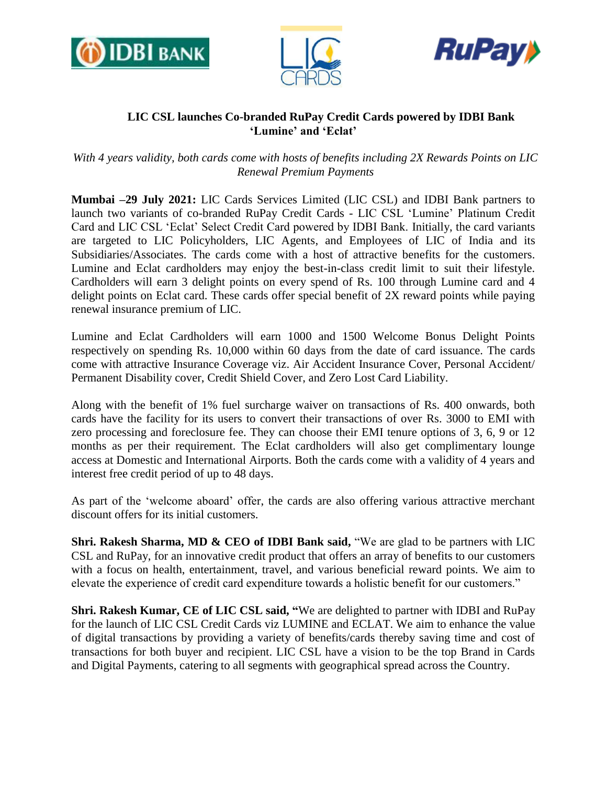





# **LIC CSL launches Co-branded RuPay Credit Cards powered by IDBI Bank 'Lumine' and 'Eclat'**

*With 4 years validity, both cards come with hosts of benefits including 2X Rewards Points on LIC Renewal Premium Payments*

**Mumbai –29 July 2021:** LIC Cards Services Limited (LIC CSL) and IDBI Bank partners to launch two variants of co-branded RuPay Credit Cards - LIC CSL 'Lumine' Platinum Credit Card and LIC CSL 'Eclat' Select Credit Card powered by IDBI Bank. Initially, the card variants are targeted to LIC Policyholders, LIC Agents, and Employees of LIC of India and its Subsidiaries/Associates. The cards come with a host of attractive benefits for the customers. Lumine and Eclat cardholders may enjoy the best-in-class credit limit to suit their lifestyle. Cardholders will earn 3 delight points on every spend of Rs. 100 through Lumine card and 4 delight points on Eclat card. These cards offer special benefit of 2X reward points while paying renewal insurance premium of LIC.

Lumine and Eclat Cardholders will earn 1000 and 1500 Welcome Bonus Delight Points respectively on spending Rs. 10,000 within 60 days from the date of card issuance. The cards come with attractive Insurance Coverage viz. Air Accident Insurance Cover, Personal Accident/ Permanent Disability cover, Credit Shield Cover, and Zero Lost Card Liability.

Along with the benefit of 1% fuel surcharge waiver on transactions of Rs. 400 onwards, both cards have the facility for its users to convert their transactions of over Rs. 3000 to EMI with zero processing and foreclosure fee. They can choose their EMI tenure options of 3, 6, 9 or 12 months as per their requirement. The Eclat cardholders will also get complimentary lounge access at Domestic and International Airports. Both the cards come with a validity of 4 years and interest free credit period of up to 48 days.

As part of the 'welcome aboard' offer, the cards are also offering various attractive merchant discount offers for its initial customers.

**Shri. Rakesh Sharma, MD & CEO of IDBI Bank said, "We are glad to be partners with LIC** CSL and RuPay, for an innovative credit product that offers an array of benefits to our customers with a focus on health, entertainment, travel, and various beneficial reward points. We aim to elevate the experience of credit card expenditure towards a holistic benefit for our customers."

**Shri. Rakesh Kumar, CE of LIC CSL said, "**We are delighted to partner with IDBI and RuPay for the launch of LIC CSL Credit Cards viz LUMINE and ECLAT. We aim to enhance the value of digital transactions by providing a variety of benefits/cards thereby saving time and cost of transactions for both buyer and recipient. LIC CSL have a vision to be the top Brand in Cards and Digital Payments, catering to all segments with geographical spread across the Country.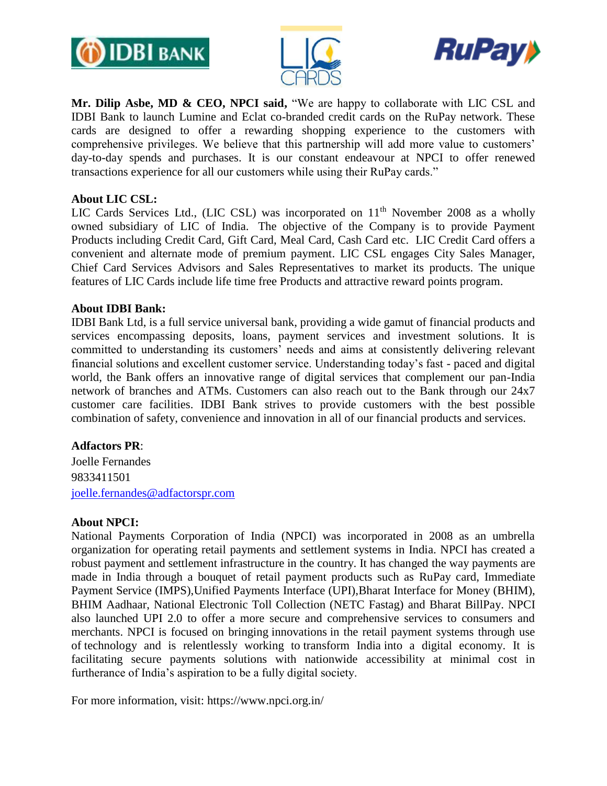





**Mr. Dilip Asbe, MD & CEO, NPCI said,** "We are happy to collaborate with LIC CSL and IDBI Bank to launch Lumine and Eclat co-branded credit cards on the RuPay network. These cards are designed to offer a rewarding shopping experience to the customers with comprehensive privileges. We believe that this partnership will add more value to customers' day-to-day spends and purchases. It is our constant endeavour at NPCI to offer renewed transactions experience for all our customers while using their RuPay cards."

## **About LIC CSL:**

LIC Cards Services Ltd., (LIC CSL) was incorporated on  $11<sup>th</sup>$  November 2008 as a wholly owned subsidiary of LIC of India. The objective of the Company is to provide Payment Products including Credit Card, Gift Card, Meal Card, Cash Card etc. LIC Credit Card offers a convenient and alternate mode of premium payment. LIC CSL engages City Sales Manager, Chief Card Services Advisors and Sales Representatives to market its products. The unique features of LIC Cards include life time free Products and attractive reward points program.

### **About IDBI Bank:**

IDBI Bank Ltd, is a full service universal bank, providing a wide gamut of financial products and services encompassing deposits, loans, payment services and investment solutions. It is committed to understanding its customers' needs and aims at consistently delivering relevant financial solutions and excellent customer service. Understanding today's fast - paced and digital world, the Bank offers an innovative range of digital services that complement our pan-India network of branches and ATMs. Customers can also reach out to the Bank through our 24x7 customer care facilities. IDBI Bank strives to provide customers with the best possible combination of safety, convenience and innovation in all of our financial products and services.

## **Adfactors PR**:

Joelle Fernandes 9833411501 [joelle.fernandes@adfactorspr.com](mailto:joelle.fernandes@adfactorspr.com)

#### **About NPCI:**

National Payments Corporation of India (NPCI) was incorporated in 2008 as an umbrella organization for operating retail payments and settlement systems in India. NPCI has created a robust payment and settlement infrastructure in the country. It has changed the way payments are made in India through a bouquet of retail payment products such as [RuPay card,](https://www.npci.org.in/product-overview/rupay-product-overview) [Immediate](https://www.npci.org.in/product-overview/imps-product-overview)  [Payment Service \(IMPS\),](https://www.npci.org.in/product-overview/imps-product-overview)[Unified Payments Interface \(UPI\),](https://www.npci.org.in/product-overview/upi-product-overview)[Bharat Interface for Money \(BHIM\),](https://www.npci.org.in/product-overview/bhim-product-overview) [BHIM Aadhaar,](https://www.npci.org.in/product-overview/bhim-aadhaar) [National Electronic Toll Collection \(NETC Fastag\)](https://www.npci.org.in/netc) and [Bharat BillPay.](https://www.npci.org.in/product-overview/bharat-billpay-product-overview) NPCI also launched UPI 2.0 to offer a more secure and comprehensive services to consumers and merchants. NPCI is focused on bringing innovations in the retail payment systems through use of technology and is relentlessly working to transform India into a digital economy. It is facilitating secure payments solutions with nationwide accessibility at minimal cost in furtherance of India's aspiration to be a fully digital society.

For more information, visit:<https://www.npci.org.in/>